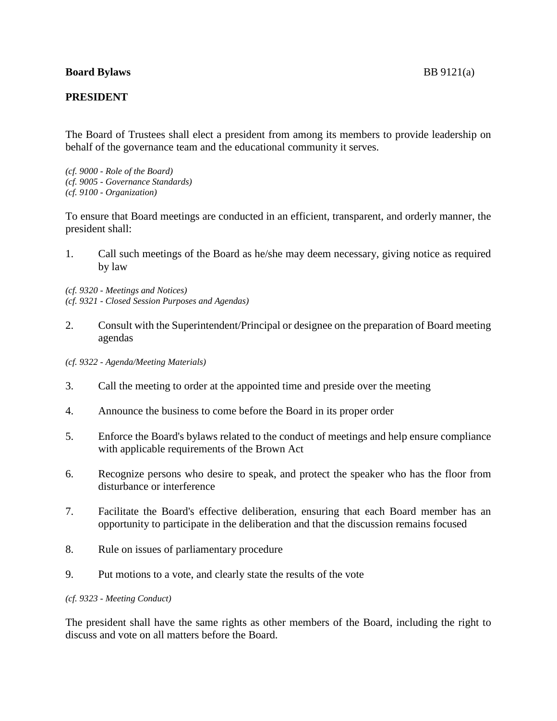## **Board Bylaws** BB 9121(a)

## **PRESIDENT**

The Board of Trustees shall elect a president from among its members to provide leadership on behalf of the governance team and the educational community it serves.

*(cf. 9000 - Role of the Board) (cf. 9005 - Governance Standards) (cf. 9100 - Organization)*

To ensure that Board meetings are conducted in an efficient, transparent, and orderly manner, the president shall:

1. Call such meetings of the Board as he/she may deem necessary, giving notice as required by law

*(cf. 9320 - Meetings and Notices) (cf. 9321 - Closed Session Purposes and Agendas)*

- 2. Consult with the Superintendent/Principal or designee on the preparation of Board meeting agendas
- *(cf. 9322 - Agenda/Meeting Materials)*
- 3. Call the meeting to order at the appointed time and preside over the meeting
- 4. Announce the business to come before the Board in its proper order
- 5. Enforce the Board's bylaws related to the conduct of meetings and help ensure compliance with applicable requirements of the Brown Act
- 6. Recognize persons who desire to speak, and protect the speaker who has the floor from disturbance or interference
- 7. Facilitate the Board's effective deliberation, ensuring that each Board member has an opportunity to participate in the deliberation and that the discussion remains focused
- 8. Rule on issues of parliamentary procedure
- 9. Put motions to a vote, and clearly state the results of the vote

## *(cf. 9323 - Meeting Conduct)*

The president shall have the same rights as other members of the Board, including the right to discuss and vote on all matters before the Board.